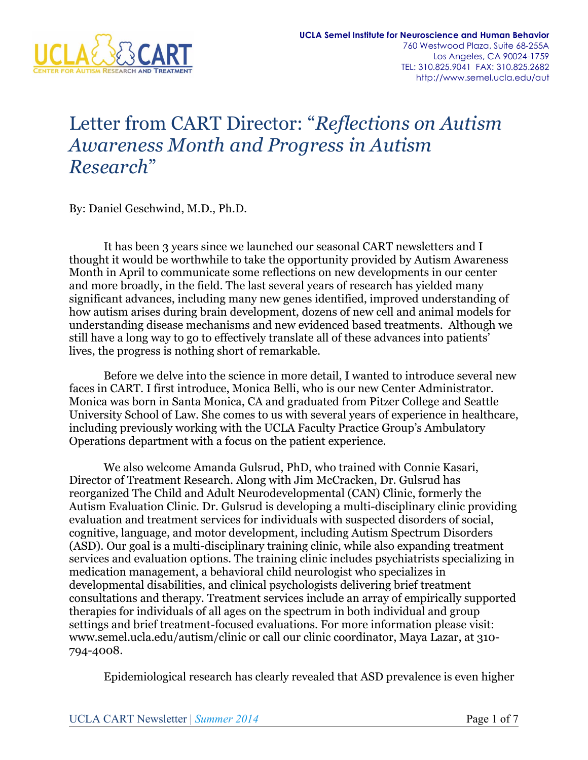

### Letter from CART Director: "*Reflections on Autism Awareness Month and Progress in Autism Research*"

By: Daniel Geschwind, M.D., Ph.D.

It has been 3 years since we launched our seasonal CART newsletters and I thought it would be worthwhile to take the opportunity provided by Autism Awareness Month in April to communicate some reflections on new developments in our center and more broadly, in the field. The last several years of research has yielded many significant advances, including many new genes identified, improved understanding of how autism arises during brain development, dozens of new cell and animal models for understanding disease mechanisms and new evidenced based treatments. Although we still have a long way to go to effectively translate all of these advances into patients' lives, the progress is nothing short of remarkable.

Before we delve into the science in more detail, I wanted to introduce several new faces in CART. I first introduce, Monica Belli, who is our new Center Administrator. Monica was born in Santa Monica, CA and graduated from Pitzer College and Seattle University School of Law. She comes to us with several years of experience in healthcare, including previously working with the UCLA Faculty Practice Group's Ambulatory Operations department with a focus on the patient experience.

We also welcome Amanda Gulsrud, PhD, who trained with Connie Kasari, Director of Treatment Research. Along with Jim McCracken, Dr. Gulsrud has reorganized The Child and Adult Neurodevelopmental (CAN) Clinic, formerly the Autism Evaluation Clinic. Dr. Gulsrud is developing a multi-disciplinary clinic providing evaluation and treatment services for individuals with suspected disorders of social, cognitive, language, and motor development, including Autism Spectrum Disorders (ASD). Our goal is a multi-disciplinary training clinic, while also expanding treatment services and evaluation options. The training clinic includes psychiatrists specializing in medication management, a behavioral child neurologist who specializes in developmental disabilities, and clinical psychologists delivering brief treatment consultations and therapy. Treatment services include an array of empirically supported therapies for individuals of all ages on the spectrum in both individual and group settings and brief treatment-focused evaluations. For more information please visit: www.semel.ucla.edu/autism/clinic or call our clinic coordinator, Maya Lazar, at 310- 794-4008.

Epidemiological research has clearly revealed that ASD prevalence is even higher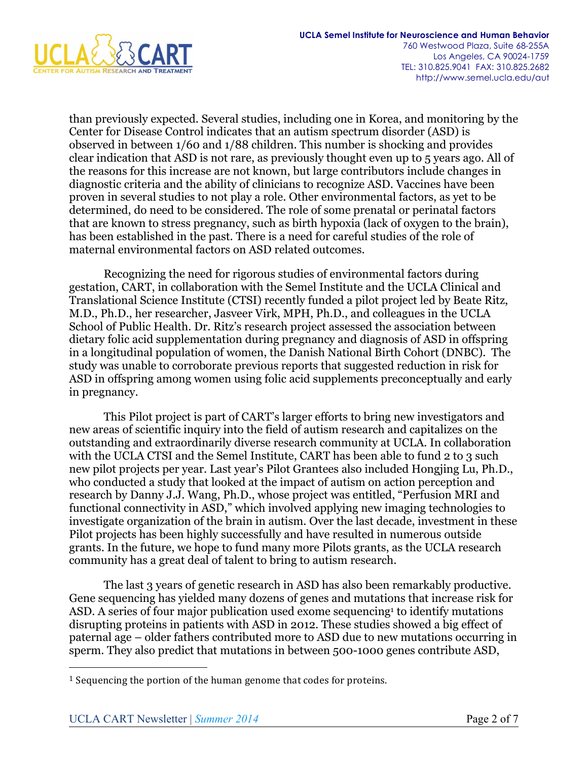

than previously expected. Several studies, including one in Korea, and monitoring by the Center for Disease Control indicates that an autism spectrum disorder (ASD) is observed in between 1/60 and 1/88 children. This number is shocking and provides clear indication that ASD is not rare, as previously thought even up to 5 years ago. All of the reasons for this increase are not known, but large contributors include changes in diagnostic criteria and the ability of clinicians to recognize ASD. Vaccines have been proven in several studies to not play a role. Other environmental factors, as yet to be determined, do need to be considered. The role of some prenatal or perinatal factors that are known to stress pregnancy, such as birth hypoxia (lack of oxygen to the brain), has been established in the past. There is a need for careful studies of the role of maternal environmental factors on ASD related outcomes.

Recognizing the need for rigorous studies of environmental factors during gestation, CART, in collaboration with the Semel Institute and the UCLA Clinical and Translational Science Institute (CTSI) recently funded a pilot project led by Beate Ritz, M.D., Ph.D., her researcher, Jasveer Virk, MPH, Ph.D., and colleagues in the UCLA School of Public Health. Dr. Ritz's research project assessed the association between dietary folic acid supplementation during pregnancy and diagnosis of ASD in offspring in a longitudinal population of women, the Danish National Birth Cohort (DNBC). The study was unable to corroborate previous reports that suggested reduction in risk for ASD in offspring among women using folic acid supplements preconceptually and early in pregnancy.

This Pilot project is part of CART's larger efforts to bring new investigators and new areas of scientific inquiry into the field of autism research and capitalizes on the outstanding and extraordinarily diverse research community at UCLA. In collaboration with the UCLA CTSI and the Semel Institute, CART has been able to fund 2 to 3 such new pilot projects per year. Last year's Pilot Grantees also included Hongjing Lu, Ph.D., who conducted a study that looked at the impact of autism on action perception and research by Danny J.J. Wang, Ph.D., whose project was entitled, "Perfusion MRI and functional connectivity in ASD," which involved applying new imaging technologies to investigate organization of the brain in autism. Over the last decade, investment in these Pilot projects has been highly successfully and have resulted in numerous outside grants. In the future, we hope to fund many more Pilots grants, as the UCLA research community has a great deal of talent to bring to autism research.

The last 3 years of genetic research in ASD has also been remarkably productive. Gene sequencing has yielded many dozens of genes and mutations that increase risk for ASD. A series of four major publication used exome sequencing<sup>1</sup> to identify mutations disrupting proteins in patients with ASD in 2012. These studies showed a big effect of paternal age – older fathers contributed more to ASD due to new mutations occurring in sperm. They also predict that mutations in between 500-1000 genes contribute ASD,

 $\overline{a}$ 

 $1$  Sequencing the portion of the human genome that codes for proteins.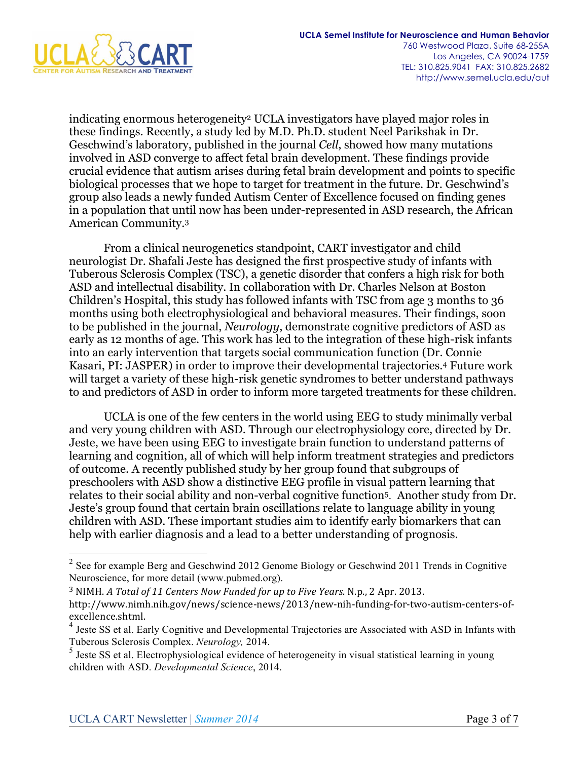

indicating enormous heterogeneity2 UCLA investigators have played major roles in these findings. Recently, a study led by M.D. Ph.D. student Neel Parikshak in Dr. Geschwind's laboratory, published in the journal *Cell*, showed how many mutations involved in ASD converge to affect fetal brain development. These findings provide crucial evidence that autism arises during fetal brain development and points to specific biological processes that we hope to target for treatment in the future. Dr. Geschwind's group also leads a newly funded Autism Center of Excellence focused on finding genes in a population that until now has been under-represented in ASD research, the African American Community.3

From a clinical neurogenetics standpoint, CART investigator and child neurologist Dr. Shafali Jeste has designed the first prospective study of infants with Tuberous Sclerosis Complex (TSC), a genetic disorder that confers a high risk for both ASD and intellectual disability. In collaboration with Dr. Charles Nelson at Boston Children's Hospital, this study has followed infants with TSC from age 3 months to 36 months using both electrophysiological and behavioral measures. Their findings, soon to be published in the journal, *Neurology*, demonstrate cognitive predictors of ASD as early as 12 months of age. This work has led to the integration of these high-risk infants into an early intervention that targets social communication function (Dr. Connie Kasari, PI: JASPER) in order to improve their developmental trajectories.4 Future work will target a variety of these high-risk genetic syndromes to better understand pathways to and predictors of ASD in order to inform more targeted treatments for these children.

UCLA is one of the few centers in the world using EEG to study minimally verbal and very young children with ASD. Through our electrophysiology core, directed by Dr. Jeste, we have been using EEG to investigate brain function to understand patterns of learning and cognition, all of which will help inform treatment strategies and predictors of outcome. A recently published study by her group found that subgroups of preschoolers with ASD show a distinctive EEG profile in visual pattern learning that relates to their social ability and non-verbal cognitive function5. Another study from Dr. Jeste's group found that certain brain oscillations relate to language ability in young children with ASD. These important studies aim to identify early biomarkers that can help with earlier diagnosis and a lead to a better understanding of prognosis.

<sup>&</sup>lt;sup>2</sup> See for example Berg and Geschwind 2012 Genome Biology or Geschwind 2011 Trends in Cognitive Neuroscience, for more detail (www.pubmed.org).

<sup>&</sup>lt;sup>3</sup> NIMH. *A* Total of 11 Centers Now Funded for up to Five Years. N.p., 2 Apr. 2013.

http://www.nimh.nih.gov/news/science-news/2013/new-nih-funding-for-two-autism-centers-ofexcellence.shtml.

<sup>4</sup> Jeste SS et al. Early Cognitive and Developmental Trajectories are Associated with ASD in Infants with Tuberous Sclerosis Complex. *Neurology,* 2014.

<sup>&</sup>lt;sup>5</sup> Jeste SS et al. Electrophysiological evidence of heterogeneity in visual statistical learning in young children with ASD. *Developmental Science*, 2014.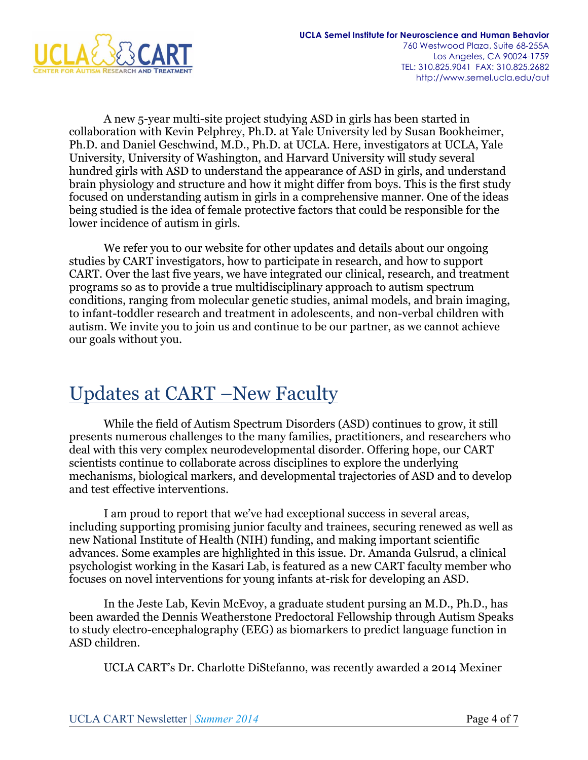

A new 5-year multi-site project studying ASD in girls has been started in collaboration with Kevin Pelphrey, Ph.D. at Yale University led by Susan Bookheimer, Ph.D. and Daniel Geschwind, M.D., Ph.D. at UCLA. Here, investigators at UCLA, Yale University, University of Washington, and Harvard University will study several hundred girls with ASD to understand the appearance of ASD in girls, and understand brain physiology and structure and how it might differ from boys. This is the first study focused on understanding autism in girls in a comprehensive manner. One of the ideas being studied is the idea of female protective factors that could be responsible for the lower incidence of autism in girls.

We refer you to our website for other updates and details about our ongoing studies by CART investigators, how to participate in research, and how to support CART. Over the last five years, we have integrated our clinical, research, and treatment programs so as to provide a true multidisciplinary approach to autism spectrum conditions, ranging from molecular genetic studies, animal models, and brain imaging, to infant-toddler research and treatment in adolescents, and non-verbal children with autism. We invite you to join us and continue to be our partner, as we cannot achieve our goals without you.

### Updates at CART –New Faculty

While the field of Autism Spectrum Disorders (ASD) continues to grow, it still presents numerous challenges to the many families, practitioners, and researchers who deal with this very complex neurodevelopmental disorder. Offering hope, our CART scientists continue to collaborate across disciplines to explore the underlying mechanisms, biological markers, and developmental trajectories of ASD and to develop and test effective interventions.

I am proud to report that we've had exceptional success in several areas, including supporting promising junior faculty and trainees, securing renewed as well as new National Institute of Health (NIH) funding, and making important scientific advances. Some examples are highlighted in this issue. Dr. Amanda Gulsrud, a clinical psychologist working in the Kasari Lab, is featured as a new CART faculty member who focuses on novel interventions for young infants at-risk for developing an ASD.

In the Jeste Lab, Kevin McEvoy, a graduate student pursing an M.D., Ph.D., has been awarded the Dennis Weatherstone Predoctoral Fellowship through Autism Speaks to study electro-encephalography (EEG) as biomarkers to predict language function in ASD children.

UCLA CART's Dr. Charlotte DiStefanno, was recently awarded a 2014 Mexiner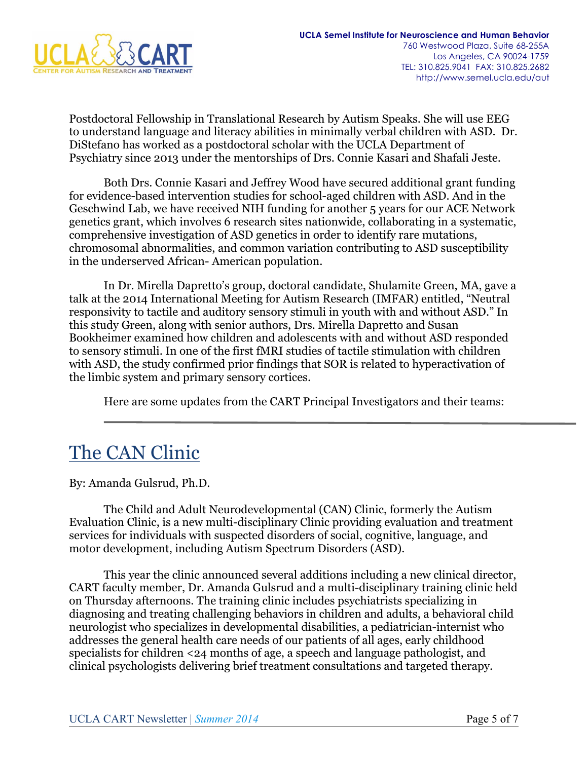

Postdoctoral Fellowship in Translational Research by Autism Speaks. She will use EEG to understand language and literacy abilities in minimally verbal children with ASD. Dr. DiStefano has worked as a postdoctoral scholar with the UCLA Department of Psychiatry since 2013 under the mentorships of Drs. Connie Kasari and Shafali Jeste.

Both Drs. Connie Kasari and Jeffrey Wood have secured additional grant funding for evidence-based intervention studies for school-aged children with ASD. And in the Geschwind Lab, we have received NIH funding for another 5 years for our ACE Network genetics grant, which involves 6 research sites nationwide, collaborating in a systematic, comprehensive investigation of ASD genetics in order to identify rare mutations, chromosomal abnormalities, and common variation contributing to ASD susceptibility in the underserved African- American population.

In Dr. Mirella Dapretto's group, doctoral candidate, Shulamite Green, MA, gave a talk at the 2014 International Meeting for Autism Research (IMFAR) entitled, "Neutral responsivity to tactile and auditory sensory stimuli in youth with and without ASD." In this study Green, along with senior authors, Drs. Mirella Dapretto and Susan Bookheimer examined how children and adolescents with and without ASD responded to sensory stimuli. In one of the first fMRI studies of tactile stimulation with children with ASD, the study confirmed prior findings that SOR is related to hyperactivation of the limbic system and primary sensory cortices.

Here are some updates from the CART Principal Investigators and their teams:

### The CAN Clinic

By: Amanda Gulsrud, Ph.D.

The Child and Adult Neurodevelopmental (CAN) Clinic, formerly the Autism Evaluation Clinic, is a new multi-disciplinary Clinic providing evaluation and treatment services for individuals with suspected disorders of social, cognitive, language, and motor development, including Autism Spectrum Disorders (ASD).

This year the clinic announced several additions including a new clinical director, CART faculty member, Dr. Amanda Gulsrud and a multi-disciplinary training clinic held on Thursday afternoons. The training clinic includes psychiatrists specializing in diagnosing and treating challenging behaviors in children and adults, a behavioral child neurologist who specializes in developmental disabilities, a pediatrician-internist who addresses the general health care needs of our patients of all ages, early childhood specialists for children <24 months of age, a speech and language pathologist, and clinical psychologists delivering brief treatment consultations and targeted therapy.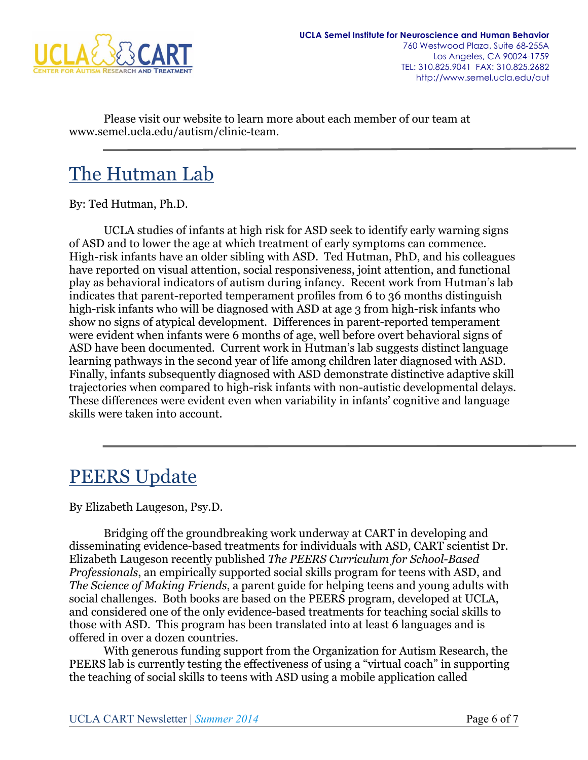

Please visit our website to learn more about each member of our team at www.semel.ucla.edu/autism/clinic-team.

# The Hutman Lab

By: Ted Hutman, Ph.D.

UCLA studies of infants at high risk for ASD seek to identify early warning signs of ASD and to lower the age at which treatment of early symptoms can commence. High-risk infants have an older sibling with ASD. Ted Hutman, PhD, and his colleagues have reported on visual attention, social responsiveness, joint attention, and functional play as behavioral indicators of autism during infancy. Recent work from Hutman's lab indicates that parent-reported temperament profiles from 6 to 36 months distinguish high-risk infants who will be diagnosed with ASD at age 3 from high-risk infants who show no signs of atypical development. Differences in parent-reported temperament were evident when infants were 6 months of age, well before overt behavioral signs of ASD have been documented. Current work in Hutman's lab suggests distinct language learning pathways in the second year of life among children later diagnosed with ASD. Finally, infants subsequently diagnosed with ASD demonstrate distinctive adaptive skill trajectories when compared to high-risk infants with non-autistic developmental delays. These differences were evident even when variability in infants' cognitive and language skills were taken into account.

## PEERS Update

By Elizabeth Laugeson, Psy.D.

Bridging off the groundbreaking work underway at CART in developing and disseminating evidence-based treatments for individuals with ASD, CART scientist Dr. Elizabeth Laugeson recently published *The PEERS Curriculum for School-Based Professionals*, an empirically supported social skills program for teens with ASD, and *The Science of Making Friends*, a parent guide for helping teens and young adults with social challenges. Both books are based on the PEERS program, developed at UCLA, and considered one of the only evidence-based treatments for teaching social skills to those with ASD. This program has been translated into at least 6 languages and is offered in over a dozen countries.

With generous funding support from the Organization for Autism Research, the PEERS lab is currently testing the effectiveness of using a "virtual coach" in supporting the teaching of social skills to teens with ASD using a mobile application called